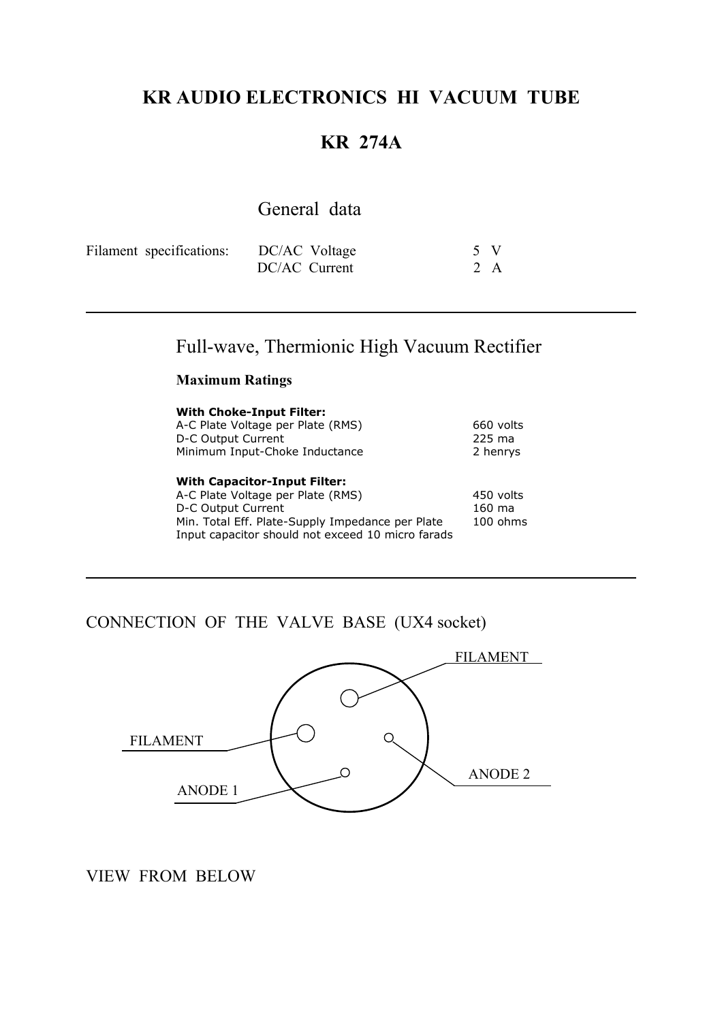## **KR AUDIO ELECTRONICS HI VACUUM TUBE**

## **KR 274A**

# General data

| Filament specifications: | DC/AC Voltage | 5 V |  |
|--------------------------|---------------|-----|--|
|                          | DC/AC Current | 2 A |  |

# Full-wave, Thermionic High Vacuum Rectifier

#### **Maximum Ratings**

| <b>With Choke-Input Filter:</b><br>A-C Plate Voltage per Plate (RMS)<br>D-C Output Current<br>Minimum Input-Choke Inductance                                                                            | 660 volts<br>225 ma<br>2 henrys   |
|---------------------------------------------------------------------------------------------------------------------------------------------------------------------------------------------------------|-----------------------------------|
| <b>With Capacitor-Input Filter:</b><br>A-C Plate Voltage per Plate (RMS)<br>D-C Output Current<br>Min. Total Eff. Plate-Supply Impedance per Plate<br>Input capacitor should not exceed 10 micro farads | 450 volts<br>160 ma<br>$100$ ohms |

#### CONNECTION OF THE VALVE BASE (UX4 socket)



#### VIEW FROM BELOW